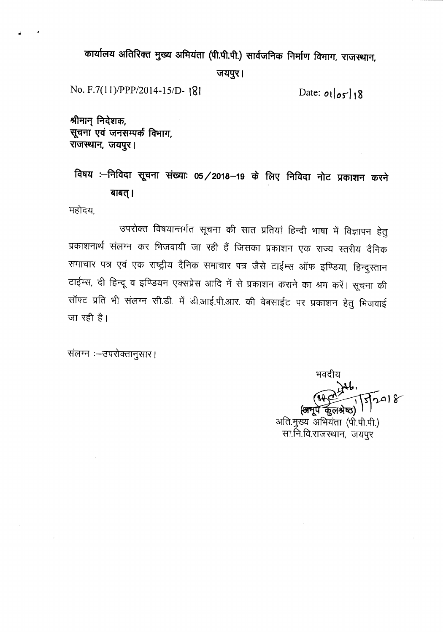कार्यालय अतिरिक्त मुख्य अभियंता (पी.पी.पी.) सार्वजनिक निर्माण विभाग, राजस्थान, जयपुर।

No. F.7(11)/PPP/2014-15/D- 181<br>Date: *ot* | *os*<sup>1</sup>18

*~ ~~:tlq),* <sup>~</sup> <sup>~</sup> .,....,.\i1....,..."'1't1TT'1~ ......c6~**rcmm,** राजस्थान, जयपुर।

<sup>~</sup> : ~RlGI <sup>~</sup> <sup>~</sup> **OS/2018-19 ~ ~ PtRlGI o:ITc Q4)I:tI"'1 <sup>~</sup>** बाबत् ।

महोदय.

उपरोक्त विषयान्तर्गत सूचना की सात प्रतियां हिन्दी भाषा में विज्ञापन हेतु प्रकाशनार्थ संलग्न कर भिजवायी जा रही हैं जिसका प्रकाशन एक राज्य स्तरीय दैनिक समाचार पत्र एवं एक राष्ट्रीय दैनिक समाचार पत्र जैसे टाईम्स ऑफ इण्डिया, हिन्दुस्तान टाईम्स, दी हिन्दू व इण्डियन एक्सप्रेस आदि में से प्रकाशन कराने का श्रम करें। सूचना की सॉफ्ट प्रति भी संलग्न सी.डी. में डी.आई.पी.आर. की वेबसाईट पर प्रकाशन हेतु भिजवाई  $\overline{m}$  रही है।

संलग्न :- उपरोक्तानुसार।

भवदीय  $7018$ 

अति.मुख्य अभियंता (पी.पी.पी.) सा.नि.वि.राजस्थान, जयपुर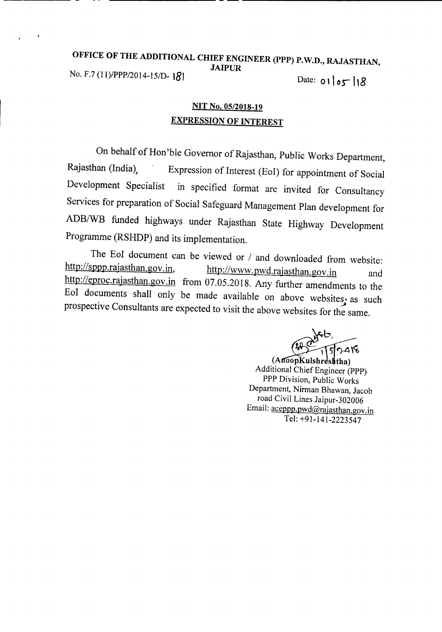## OFFICE OF THE ADDITIONAL CHIEF ENGINEER (PPP) P.W.D., RAJASTHAN, JAIPUR No. F.7 (11)/PPP/2014-15/D-181

Date:  $0105$  18

# NIT No. *05/2018-19* EXPRESSION OF INTEREST

On behalf of Hon'ble Governor of Rajasthan, Public Works Department, Rajasthan (India), Expression of Interest (EoI) for appointment of Social Development Specialist in specified format are invited for Consultancy Services for preparation of Social Safeguard Management Plan development for *ADB/WB* funded highways under Rajasthan State Highway Development Programme (RSHDP) and its implementation.

The EoI document can be viewed or / and downloaded from website:<br>http://sppp.rajasthan.gov.in, http://www.nwd.rajasthan.gov.in http://www.pwd.rajasthan.gov.in and http://eproc.rajasthan.gov.in from 07.05.2018. Any further amendments to the EoI documents shall only be made available on above websites; as such prospective Consultants are expected to visit the above websites for the same.

 $748$ 

 $(An60pKulshr ds$ ha) Additional Chief Engineer (PPP) PPP Division, Public Works Department, Nirman Bhawan, Jacob road Civil Lines Jaipur-302006 Email: aceppp.pwd@rajasthan.gov.in Tel: +91-141-2223547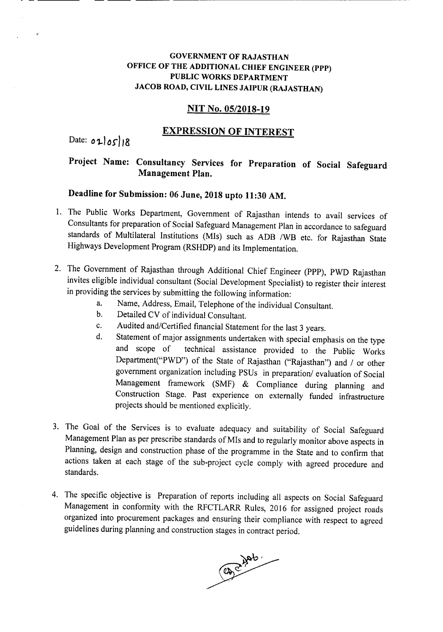## **GOVERNMENT OF RAJASTHAN OFFICE OF THE ADDITIONAL CHIEF ENGINEER (PPP) PUBLIC WORKS DEPARTMENT JACOB ROAD, CIVIL LINES JAIPUR (RAJASTHAN)**

### **NIT No. OS/2018-19**

## **EXPRESSION OF INTEREST**

Date:  $010518$ 

# **Project Name: Consultancy Services for Preparation of Social Safeguard Management Plan.**

# **Deadline for Submission: 06 June, 2018 upto 11:30 AM.**

- 1. The Public Works Department, Government of Rajasthan intends to avail services of Consultants for preparation of Social Safeguard Management Plan in accordance to safeguard standards of Multilateral Institutions (MIs) such as ADB *IWB* etc. for Rajasthan State Highways Development Program (RSHDP) and its Implementation.
- 2. The Government of Rajasthan through Additional Chief Engineer (PPP), PWD Rajasthan invites eligible individual consultant (Social Development Specialist) to register their interest in providing the services by submitting the following information:
	- a. Name, Address, Email, Telephone of the individual Consultant.
	- b. Detailed CV of individual Consultant.
	- c. Audited and/Certified financial Statement for the last 3 years.
	- d. Statement of major assignments undertaken with special emphasis on the type and scope of technical assistance provided to the Public Works Department("PWD") of the State of Rajasthan ("Rajasthan") and *I* or other government organization including PSUs in preparation/ evaluation of Social Management framework (SMF) & Compliance during planning and Construction Stage. Past experience on externally funded infrastructure projects should be mentioned explicitly.
- 3. The Goal of the Services is to evaluate adequacy and suitability of Social Safeguard Management Plan as per prescribe standards of MIs and to regularly monitor above aspects in Planning, design and construction phase of the programme in the State and to confirm that actions taken at each stage of the sub-project cycle comply with agreed procedure and standards.
- 4. The specific objective is Preparation of reports including all aspects on Social Safeguard Management in conformity with the RFCTLARR Rules, 2016 for assigned project roads organized into procurement packages and ensuring their compliance with respect to agreed guidelines during planning and construction stages in contract period.

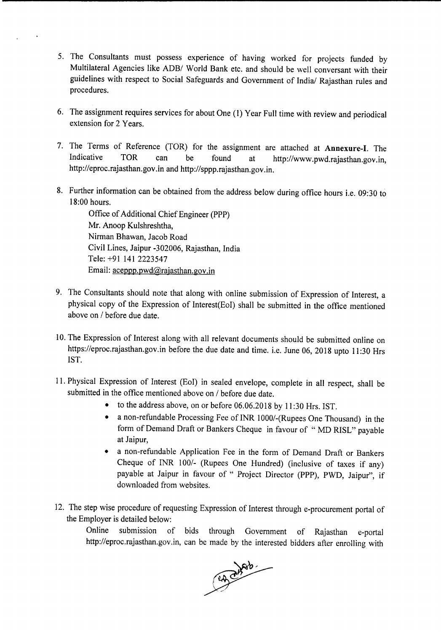- 5. The Consultants must possess experience of having worked for projects funded by Multilateral Agencies like *ADBI* World Bank etc. and should be well conversant with their guidelines with respect to Social Safeguards and Government of India/ Rajasthan rules and procedures.
- 6. The assignment requires services for about One (1) Year Full time with review and periodical extension for 2 Years.
- 7. The Terms of Reference (TOR) for the assignment are attached at Annexure-I. The Indicative TOR can be found at http://www.pwd.rajasthan.gov.in. http://eproc.rajasthan.gov.in and http://sppp.rajasthan.gov.in.
- 8. Further information can be obtained from the address below during office hours i.e. 09:30 to 18:00 hours.

Office of Additional Chief Engineer (PPP) Mr. Anoop Kulshreshtha, Nirman Bhawan, Jacob Road Civil Lines, Jaipur -302006, Rajasthan, India Tele: +91 141 2223547 Email: aceppp.pwd@rajasthan.gov.in

- 9. The Consultants should note that along with online submission of Expression of Interest, a physical copy of the Expression of Interest(Eol) shall be submitted in the office mentioned above on *1*before due date.
- 10.The Expression of Interest along with all relevant documents should be submitted online on https://eproc.rajasthan.gov.in before the due date and time. i.e. June 06, 2018 upto 11:30 Hrs 1ST.
- 11. Physical Expression of Interest (Eol) in sealed envelope, complete in all respect, shall be submitted in the office mentioned above on *1* before due date.
	- to the address above, on or before 06.06.2018 by 11:30 Hrs. 1ST.
	- a non-refundable Processing Fee of INR 1000/-(Rupees One Thousand) in the form of Demand Draft or Bankers Cheque in favour of " MD RISL" payable at Jaipur,
	- a non-refundable Application Fee in the form of Demand Draft or Bankers Cheque of INR *1001-* (Rupees One Hundred) (inclusive of taxes if any) payable at Jaipur in favour of " Project Director (PPP), PWD, Jaipur", if downloaded from websites.
- 12. The step wise procedure of requesting Expression of Interest through e-procurement portal of the Employer is detailed below:

Online submission of bids through Government of Rajasthan e-portal http://eproc.rajasthan.gov.in, can be made by the interested bidders after enrolling with

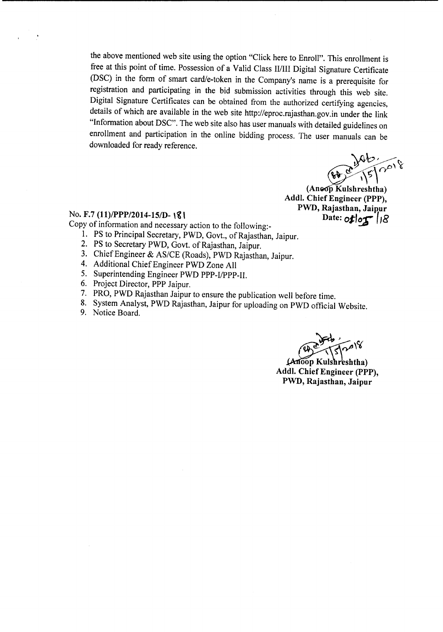the above mentioned web site using the option "Click here to Enroll". This enrollment is free at this point of time. Possession of a Valid Class WIII Digital Signature Certificate (DSC) in the form of smart card/e-token in the Company's name is a prerequisite for registration and participating in the bid submission activities through this web site. Digital Signature Certificates can be obtained from the authorized certifying agencies, details of which are available in the web site http://eproc.rajasthan.gov.in under the link "Information about DSC". The web site also has user manuals with detailed guidelines on enrollment and participation in the online bidding process. The user manuals can be downloaded for ready reference.

*~np,~*  $\sum_{\alpha} \sum_{\alpha} |z|$ 

 $(An \odot p$  Kulshreshtha) Addl. Chief Engineer (PPP), PWD, Rajasthan, Jaipur Date:  $oflog$  |18

#### No. F.7 *(1l)IPPP/2014-151D- \~ \*

Copy of information and necessary action to the following:-

- 1. PS to Principal Secretary, PWD, Govt., of Rajasthan, Jaipur.
- 2. PS to Secretary PWD, Govt. of Rajasthan, Jaipur.
- 3. Chief Engineer & *AS/CE* (Roads), PWD Rajasthan, Jaipur.
- 4. Additional Chief Engineer PWD Zone All
- 5. Superintending Engineer PWD PPP-I/PPP-II.
- 6. Project Director, PPP Jaipur.
- 7. PRO, PWD Rajasthan Jaipur to ensure the publication well before time.
- 8. System Analyst, PWD Rajasthan, Jaipur for uploading on PWD official Website.
- 9. Notice Board.

(Anoop Kulshr'eshtha) Addl. Chief Engineer (PPP), PWD, Rajasthan, Jaipur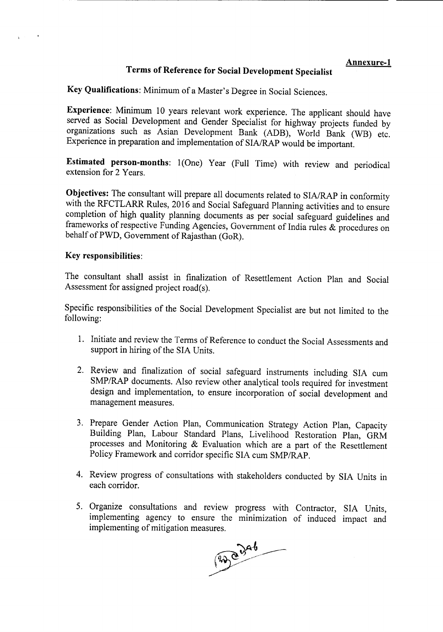# Terms of Reference for Social Development Specialist

Key Qualifications: Minimum of a Master's Degree in Social Sciences.

Experience: Minimum 10 years relevant work experience. The applicant should have served as Social Development and Gender Specialist for highway projects funded by organizations such as Asian Development Bank (ADB), World Bank (WB) etc. Experience in preparation and implementation of SIA/RAP would be important.

Estimated person-months: 1(One) Year (Full Time) with review and periodical extension for 2 Years.

Objectives: The consultant will prepare all documents related to SIA/RAP in conformity with the RFCTLARR Rules, 2016 and Social Safeguard Planning activities and to ensure completion of high quality planning documents as per social safeguard guidelines and frameworks of respective Funding Agencies, Government of India rules & procedures on behalf of PWD, Government of Rajasthan (GoR).

#### Key responsibilities:

The consultant shall assist in finalization of Resettlement Action Plan and Social Assessment for assigned project road(s).

Specific responsibilities of the Social Development Specialist are but not limited to the following:

- 1. Initiate and review the Terms of Reference to conduct the Social Assessments and support in hiring of the SIA Units.
- 2. Review and finalization of social safeguard instruments including SIA cum *SMP/RAP* documents. Also review other analytical tools required for investment design and implementation, to ensure incorporation of social development and management measures.
- 3. Prepare Gender Action Plan, Communication Strategy Action Plan, Capacity Building Plan, Labour Standard Plans, Livelihood Restoration Plan, GRM processes and Monitoring & Evaluation which are a part of the Resettlement Policy Framework and corridor specific SIA cum *SMP/RAP.*
- 4. Review progress of consultations with stakeholders conducted by SIA Units in each corridor.
- 5. Organize consultations and review progress with Contractor, SIA Units, implementing agency to ensure the minimization of induced impact and implementing of mitigation measures.